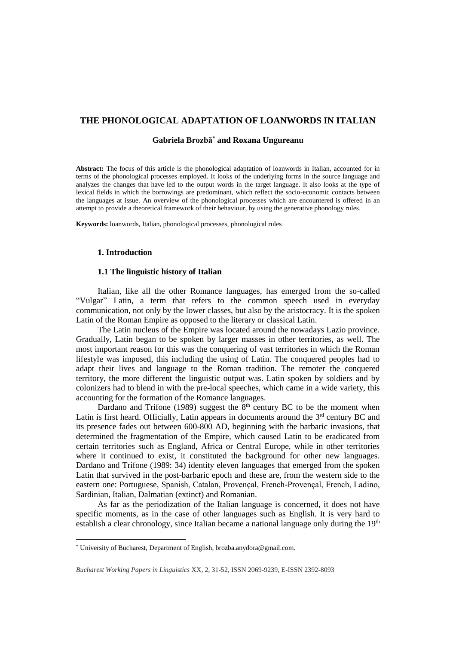# **THE PHONOLOGICAL ADAPTATION OF LOANWORDS IN ITALIAN**

## **Gabriela Brozbă\* and Roxana Ungureanu**

**Abstract:** The focus of this article is the phonological adaptation of loanwords in Italian, accounted for in terms of the phonological processes employed. It looks of the underlying forms in the source language and analyzes the changes that have led to the output words in the target language. It also looks at the type of lexical fields in which the borrowings are predominant, which reflect the socio-economic contacts between the languages at issue. An overview of the phonological processes which are encountered is offered in an attempt to provide a theoretical framework of their behaviour, by using the generative phonology rules.

**Keywords:** loanwords, Italian, phonological processes, phonological rules

### **1. Introduction**

 $\overline{a}$ 

# **1.1 The linguistic history of Italian**

Italian, like all the other Romance languages, has emerged from the so-called "Vulgar" Latin, a term that refers to the common speech used in everyday communication, not only by the lower classes, but also by the aristocracy. It is the spoken Latin of the Roman Empire as opposed to the literary or classical Latin.

The Latin nucleus of the Empire was located around the nowadays Lazio province. Gradually, Latin began to be spoken by larger masses in other territories, as well. The most important reason for this was the conquering of vast territories in which the Roman lifestyle was imposed, this including the using of Latin. The conquered peoples had to adapt their lives and language to the Roman tradition. The remoter the conquered territory, the more different the linguistic output was. Latin spoken by soldiers and by colonizers had to blend in with the pre-local speeches, which came in a wide variety, this accounting for the formation of the Romance languages.

Dardano and Trifone (1989) suggest the  $8<sup>th</sup>$  century BC to be the moment when Latin is first heard. Officially, Latin appears in documents around the  $3<sup>rd</sup>$  century BC and its presence fades out between 600-800 AD, beginning with the barbaric invasions, that determined the fragmentation of the Empire, which caused Latin to be eradicated from certain territories such as England, Africa or Central Europe, while in other territories where it continued to exist, it constituted the background for other new languages. Dardano and Trifone (1989: 34) identity eleven languages that emerged from the spoken Latin that survived in the post-barbaric epoch and these are, from the western side to the eastern one: Portuguese, Spanish, Catalan, Provençal, French-Provençal, French, Ladino, Sardinian, Italian, Dalmatian (extinct) and Romanian.

As far as the periodization of the Italian language is concerned, it does not have specific moments, as in the case of other languages such as English. It is very hard to establish a clear chronology, since Italian became a national language only during the  $19<sup>th</sup>$ 

<sup>\*</sup> University of Bucharest, Department of English, brozba.anydora@gmail.com.

*Bucharest Working Papers in Linguistics* XX, 2, 31-52, ISSN 2069-9239, E-ISSN 2392-8093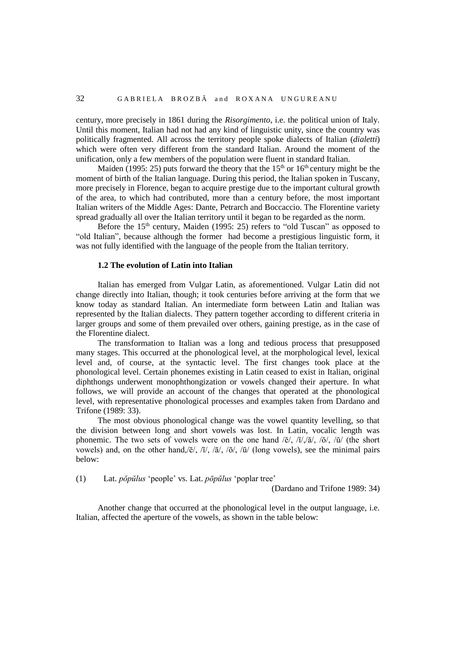century, more precisely in 1861 during the *Risorgimento*, i.e. the political union of Italy. Until this moment, Italian had not had any kind of linguistic unity, since the country was politically fragmented. All across the territory people spoke dialects of Italian (*dialetti*) which were often very different from the standard Italian. Around the moment of the unification, only a few members of the population were fluent in standard Italian.

Maiden (1995: 25) puts forward the theory that the  $15<sup>th</sup>$  or  $16<sup>th</sup>$  century might be the moment of birth of the Italian language. During this period, the Italian spoken in Tuscany, more precisely in Florence, began to acquire prestige due to the important cultural growth of the area, to which had contributed, more than a century before, the most important Italian writers of the Middle Ages: Dante, Petrarch and Boccaccio. The Florentine variety spread gradually all over the Italian territory until it began to be regarded as the norm.

Before the  $15<sup>th</sup>$  century, Maiden (1995: 25) refers to "old Tuscan" as opposed to "old Italian", because although the former had become a prestigious linguistic form, it was not fully identified with the language of the people from the Italian territory.

# **1.2 The evolution of Latin into Italian**

Italian has emerged from Vulgar Latin, as aforementioned. Vulgar Latin did not change directly into Italian, though; it took centuries before arriving at the form that we know today as standard Italian. An intermediate form between Latin and Italian was represented by the Italian dialects. They pattern together according to different criteria in larger groups and some of them prevailed over others, gaining prestige, as in the case of the Florentine dialect.

The transformation to Italian was a long and tedious process that presupposed many stages. This occurred at the phonological level, at the morphological level, lexical level and, of course, at the syntactic level. The first changes took place at the phonological level. Certain phonemes existing in Latin ceased to exist in Italian, original diphthongs underwent monophthongization or vowels changed their aperture. In what follows, we will provide an account of the changes that operated at the phonological level, with representative phonological processes and examples taken from Dardano and Trifone (1989: 33).

The most obvious phonological change was the vowel quantity levelling, so that the division between long and short vowels was lost. In Latin, vocalic length was phonemic. The two sets of vowels were on the one hand  $\delta/(\delta/|\tilde{\lambda}|)/\delta/|\tilde{\lambda}|$ , ( $\delta/|\tilde{\lambda}|$ ) (the short vowels) and, on the other hand, $\overline{e}$ ,  $\overline{h}$ ,  $\overline{a}$ ,  $\overline{a}$ ,  $\overline{b}$ ,  $\overline{a}$ ,  $\overline{a}$  (long vowels), see the minimal pairs below:

(1) Lat. *pŏpŭlus* 'people' vs. Lat. *pōpŭlus* 'poplar tree'

(Dardano and Trifone 1989: 34)

Another change that occurred at the phonological level in the output language, i.e. Italian, affected the aperture of the vowels, as shown in the table below: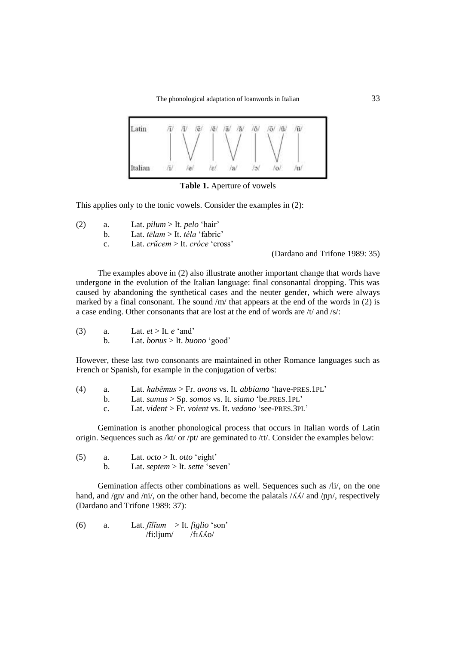

**Table 1.** Aperture of vowels

This applies only to the tonic vowels. Consider the examples in (2):

- (2) a. Lat. *pilum* > It. *pelo* 'hair'
	- b. Lat. *tēlam* > It. *téla* 'fabric'
	- c. Lat. *crŭcem* > It. *cróce* 'cross'

(Dardano and Trifone 1989: 35)

The examples above in (2) also illustrate another important change that words have undergone in the evolution of the Italian language: final consonantal dropping. This was caused by abandoning the synthetical cases and the neuter gender, which were always marked by a final consonant. The sound /m/ that appears at the end of the words in (2) is a case ending. Other consonants that are lost at the end of words are /t/ and /s/:

(3) a. Lat. *et* > It. *e* 'and'

b. Lat. *bonus* > It. *buono* 'good'

However, these last two consonants are maintained in other Romance languages such as French or Spanish, for example in the conjugation of verbs:

| (4) |  |  |  | Lat. habemus > Fr. avons vs. It. abbiamo 'have-PRES.1PL' |
|-----|--|--|--|----------------------------------------------------------|
|-----|--|--|--|----------------------------------------------------------|

- b. Lat. *sumus* > Sp. *somos* vs. It. *siamo* 'be.PRES.1PL'
	- c. Lat. *vident* > Fr. *voient* vs. It. *vedono* 'see-PRES.3PL'

Gemination is another phonological process that occurs in Italian words of Latin origin. Sequences such as /kt/ or /pt/ are geminated to /tt/. Consider the examples below:

| (5) | Lat. $octo > It. otto 'eight'$  |
|-----|---------------------------------|
|     | Lat. septem > It. sette 'seven' |

Gemination affects other combinations as well. Sequences such as /li/, on the one hand, and /gn/ and /ni/, on the other hand, become the palatals / $\Lambda\Lambda$ / and /nn/, respectively (Dardano and Trifone 1989: 37):

(6) a. Lat. *fīlĭum* > It. *figlio* 'son' /fi:ljum/ /fɪʎʎo/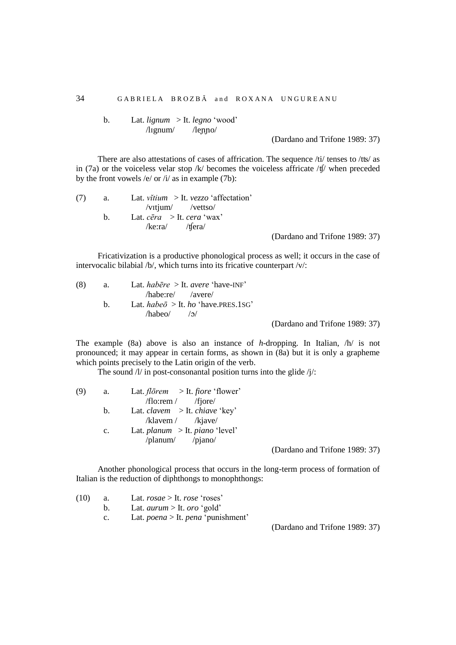b. Lat. *lignum* > It. *legno* 'wood' /lɪgnum/ /leɲɲo/

(Dardano and Trifone 1989: 37)

There are also attestations of cases of affrication. The sequence /ti/ tenses to /tʦ/ as in (7a) or the voiceless velar stop /k/ becomes the voiceless affricate /ʧ/ when preceded by the front vowels /e/ or /i/ as in example (7b):

| (7) | а.          | Lat. <i>vitium</i> > It. <i>vezzo</i> 'affectation' |                                |
|-----|-------------|-----------------------------------------------------|--------------------------------|
|     |             | $\sqrt{v}$ ttium $\sqrt{v}$ ettso                   |                                |
|     | $h_{\cdot}$ | Lat. $c\bar{e}ra \Rightarrow$ It. $cera$ 'wax'      |                                |
|     |             | $/$ ke:ra $/$ /tfera $/$                            |                                |
|     |             |                                                     | (Dardano and Trifone 1989: 37) |

Fricativization is a productive phonological process as well; it occurs in the case of intervocalic bilabial /b/, which turns into its fricative counterpart /v/:

| (8) | a. | Lat. habere $>$ It. avere 'have-INF' |                                |
|-----|----|--------------------------------------|--------------------------------|
|     |    | $/hab$ e:re $/$ $/$ $/$ $av$ ere $/$ |                                |
|     | h. | Lat. habeo > It. ho 'have.PRES.1SG'  |                                |
|     |    | $/habeo/$ /3/                        |                                |
|     |    |                                      | (Dardano and Trifone 1989: 37) |

The example (8a) above is also an instance of *h*-dropping. In Italian, /h/ is not pronounced; it may appear in certain forms, as shown in (8a) but it is only a grapheme which points precisely to the Latin origin of the verb.

The sound  $\frac{1}{i}$  in post-consonantal position turns into the glide  $\frac{1}{i}$ :

| (9) | a.             | Lat. <i>florem</i> > It. <i>fiore</i> 'flower' |
|-----|----------------|------------------------------------------------|
|     |                | $/flo:rem /$ $/fjore/$                         |
|     | b.             | Lat. <i>clavem</i> > It. <i>chiave</i> 'key'   |
|     |                | $/kl$ avem / $/kj$ ave/                        |
|     | $\mathbf{c}$ . | Lat. <i>planum</i> > It. <i>piano</i> 'level'  |
|     |                | $\alpha$ /planum/ $\beta$ /pjano/              |
|     |                |                                                |

(Dardano and Trifone 1989: 37)

Another phonological process that occurs in the long-term process of formation of Italian is the reduction of diphthongs to monophthongs:

| (10) | а. | Lat. $rosae > It. rose 'roses'$                  |                  |
|------|----|--------------------------------------------------|------------------|
|      |    | Lat. <i>aurum</i> > It. <i>oro</i> 'gold'        |                  |
|      | C. | Lat. <i>poena</i> > It. <i>pena</i> 'punishment' |                  |
|      |    |                                                  | $(D_1 \ldots 1)$ |

(Dardano and Trifone 1989: 37)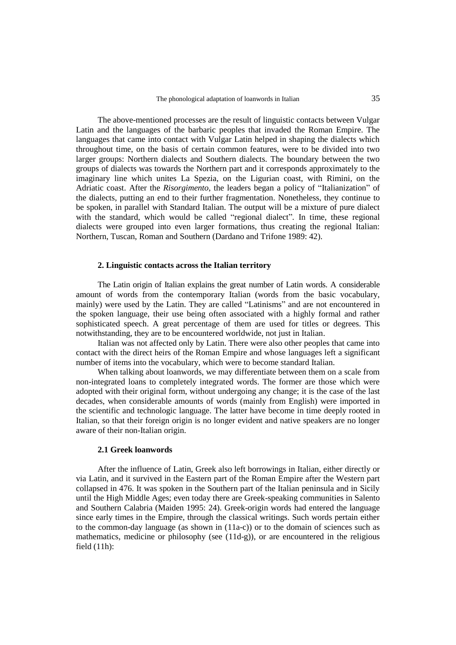The above-mentioned processes are the result of linguistic contacts between Vulgar Latin and the languages of the barbaric peoples that invaded the Roman Empire. The languages that came into contact with Vulgar Latin helped in shaping the dialects which throughout time, on the basis of certain common features, were to be divided into two larger groups: Northern dialects and Southern dialects. The boundary between the two groups of dialects was towards the Northern part and it corresponds approximately to the imaginary line which unites La Spezia, on the Ligurian coast, with Rimini, on the Adriatic coast. After the *Risorgimento*, the leaders began a policy of "Italianization" of the dialects, putting an end to their further fragmentation. Nonetheless, they continue to be spoken, in parallel with Standard Italian. The output will be a mixture of pure dialect with the standard, which would be called "regional dialect"*.* In time, these regional dialects were grouped into even larger formations, thus creating the regional Italian: Northern, Tuscan, Roman and Southern (Dardano and Trifone 1989: 42).

#### **2. Linguistic contacts across the Italian territory**

The Latin origin of Italian explains the great number of Latin words. A considerable amount of words from the contemporary Italian (words from the basic vocabulary, mainly) were used by the Latin. They are called "Latinisms" and are not encountered in the spoken language, their use being often associated with a highly formal and rather sophisticated speech. A great percentage of them are used for titles or degrees. This notwithstanding, they are to be encountered worldwide, not just in Italian.

Italian was not affected only by Latin. There were also other peoples that came into contact with the direct heirs of the Roman Empire and whose languages left a significant number of items into the vocabulary, which were to become standard Italian.

When talking about loanwords, we may differentiate between them on a scale from non-integrated loans to completely integrated words. The former are those which were adopted with their original form, without undergoing any change; it is the case of the last decades, when considerable amounts of words (mainly from English) were imported in the scientific and technologic language. The latter have become in time deeply rooted in Italian, so that their foreign origin is no longer evident and native speakers are no longer aware of their non-Italian origin.

## **2.1 Greek loanwords**

After the influence of Latin, Greek also left borrowings in Italian, either directly or via Latin, and it survived in the Eastern part of the Roman Empire after the Western part collapsed in 476. It was spoken in the Southern part of the Italian peninsula and in Sicily until the High Middle Ages; even today there are Greek-speaking communities in Salento and Southern Calabria (Maiden 1995: 24). Greek-origin words had entered the language since early times in the Empire, through the classical writings. Such words pertain either to the common-day language (as shown in  $(11a-c)$ ) or to the domain of sciences such as mathematics, medicine or philosophy (see (11d-g)), or are encountered in the religious field (11h):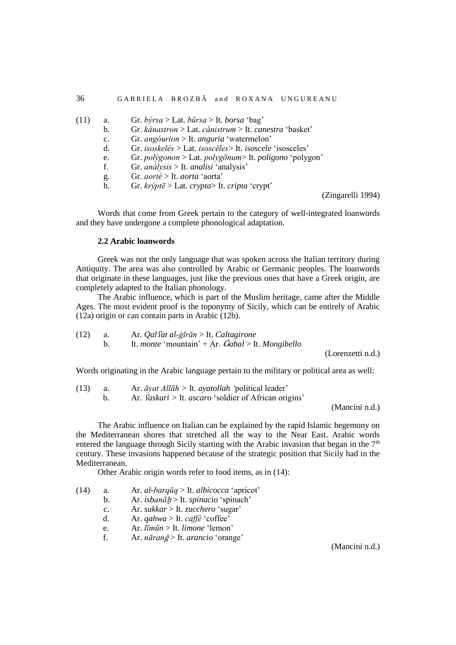| (11) | a.             | Gr. býrsa > Lat. bŭrsa > It. borsa 'bag'                             |
|------|----------------|----------------------------------------------------------------------|
|      | $\mathbf{b}$ . | Gr. kánastron > Lat. cănistrum > It. canestra 'basket'               |
|      | c.             | Gr. angóurion > It. anguria 'watermelon'                             |
|      | d.             | Gr. isoskelés > Lat. isoscĕles> It. isoscele 'isosceles'             |
|      | e.             | Gr. polýgonon > Lat. polygōnum> It. poligono 'polygon'               |
|      | f.             | Gr. <i>análysis</i> > It. <i>analisi</i> 'analysis'                  |
|      | g.             | Gr. <i>aorté</i> > It. <i>aorta</i> 'aorta'                          |
|      | h.             | Gr. $kr\acute{\psi}pt\bar{e}$ > Lat. $crypta$ > It. $cripta$ 'crypt' |

(Zingarelli 1994)

Words that come from Greek pertain to the category of well-integrated loanwords and they have undergone a complete phonological adaptation.

# **2.2 Arabic loanwords**

Greek was not the only language that was spoken across the Italian territory during Antiquity. The area was also controlled by Arabic or Germanic peoples. The loanwords that originate in these languages, just like the previous ones that have a Greek origin, are completely adapted to the Italian phonology.

The Arabic influence, which is part of the Muslim heritage, came after the Middle Ages. The most evident proof is the toponymy of Sicily, which can be entirely of Arabic (12a) origin or can contain parts in Arabic (12b).

(12) a. Ar. *Qal*ʕ*at al-ġīrān* > It. *Caltagirone* b. It. *monte* 'mountain' + Ar. Ǧ*abal* > It. *Mongibello*

(Lorenzetti n.d.)

Words originating in the Arabic language pertain to the military or political area as well:

(13) a. Ar. *āyat Allāh >* It. *ayatollah '*political leader'

b. Ar*.* ʕ*askari >* It. *ascaro* 'soldier of African origins'

(Mancini n.d.)

The Arabic influence on Italian can be explained by the rapid Islamic hegemony on the Mediterranean shores that stretched all the way to the Near East. Arabic words entered the language through Sicily starting with the Arabic invasion that began in the  $7<sup>th</sup>$ century. These invasions happened because of the strategic position that Sicily had in the Mediterranean.

Other Arabic origin words refer to food items, as in (14):

- (14) a. Ar. *al-barqūq* > It. *albicocca* 'apricot'
	- b. Ar. *isbanā*ḫ > It. *spinacio* 'spinach'
	- c. Ar. *sukkar* > It. *zucchero* 'sugar'
	- d. Ar. *qahwa* > It. *caffè* 'coffee'
	- e. Ar. *līmūn* > It. *limone* 'lemon'
	- f. Ar. *nāran*ǧ > It. *arancio* 'orange'

(Mancini n.d.)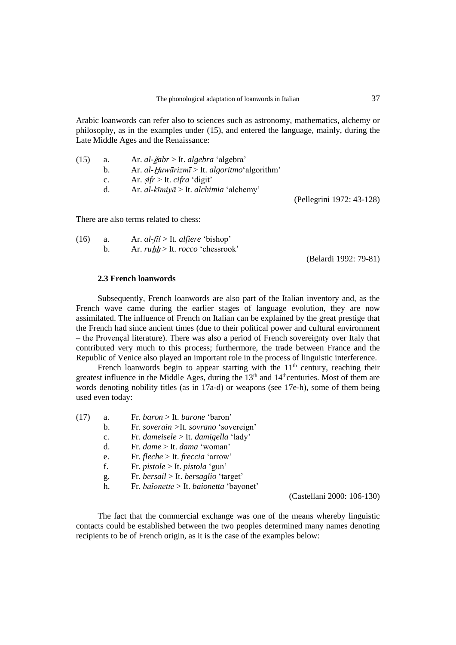Arabic loanwords can refer also to sciences such as astronomy, mathematics, alchemy or philosophy, as in the examples under (15), and entered the language, mainly, during the Late Middle Ages and the Renaissance:

| (15) | a.             | Ar. <i>al-ğabr</i> > It. <i>algebra</i> 'algebra'    |
|------|----------------|------------------------------------------------------|
|      | $\mathsf{b}$ . | Ar. al-Huwārizmī > It. algoritmo'algorithm'          |
|      | c.             | Ar. $s$ <i>ifr</i> > It. <i>cifra</i> 'digit'        |
|      | d.             | Ar. <i>al-kīmiyā</i> > It. <i>alchimia</i> 'alchemy' |
|      |                |                                                      |

There are also terms related to chess:

| (16) | Ar. $al$ -fil > It. alfiere 'bishop'           |
|------|------------------------------------------------|
|      | Ar. <i>ruhh</i> > It. <i>rocco</i> 'chessrook' |

(Belardi 1992: 79-81)

(Pellegrini 1972: 43-128)

### **2.3 French loanwords**

Subsequently, French loanwords are also part of the Italian inventory and, as the French wave came during the earlier stages of language evolution, they are now assimilated. The influence of French on Italian can be explained by the great prestige that the French had since ancient times (due to their political power and cultural environment – the Provençal literature). There was also a period of French sovereignty over Italy that contributed very much to this process; furthermore, the trade between France and the Republic of Venice also played an important role in the process of linguistic interference.

French loanwords begin to appear starting with the  $11<sup>th</sup>$  century, reaching their greatest influence in the Middle Ages, during the  $13<sup>th</sup>$  and  $14<sup>th</sup>$ centuries. Most of them are words denoting nobility titles (as in 17a-d) or weapons (see 17e-h), some of them being used even today:

| (17) | a.             | Fr. baron > It. barone 'baron'                |
|------|----------------|-----------------------------------------------|
|      | b.             | Fr. soverain > It. sovrano 'sovereign'        |
|      | $\mathbf{c}$ . | Fr. dameisele > It. damigella 'lady'          |
|      | d.             | Fr. dame $>$ It. dama 'woman'                 |
|      | e.             | Fr. fleche > It. freccia 'arrow'              |
|      | f.             | Fr. <i>pistole</i> > It. <i>pistola</i> 'gun' |
|      | g.             | Fr. bersail > It. bersaglio 'target'          |
|      | h.             | Fr. baïonette > It. baionetta 'bayonet'       |
|      |                |                                               |

(Castellani 2000: 106-130)

The fact that the commercial exchange was one of the means whereby linguistic contacts could be established between the two peoples determined many names denoting recipients to be of French origin, as it is the case of the examples below: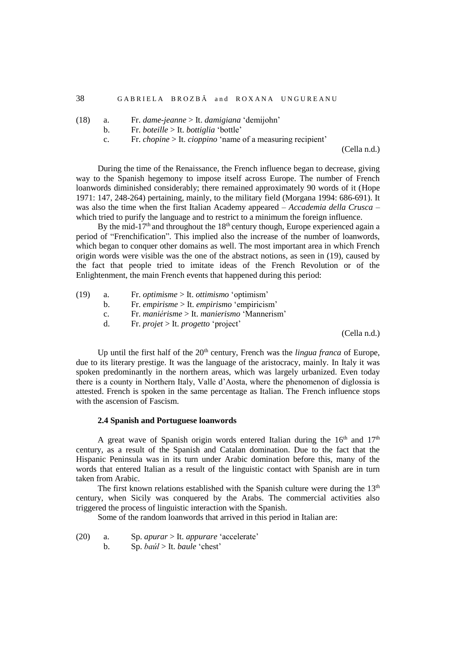- (18) a. Fr. *dame-jeanne* > It. *damigiana* 'demijohn'
	- b. Fr. *boteille* > It. *bottiglia* 'bottle'
	- c. Fr. *chopine* > It. *cioppino* 'name of a measuring recipient'

(Cella n.d.)

During the time of the Renaissance, the French influence began to decrease, giving way to the Spanish hegemony to impose itself across Europe. The number of French loanwords diminished considerably; there remained approximately 90 words of it (Hope 1971: 147, 248-264) pertaining, mainly, to the military field (Morgana 1994: 686-691). It was also the time when the first Italian Academy appeared – *Accademia della Crusca* – which tried to purify the language and to restrict to a minimum the foreign influence.

By the mid-17<sup>th</sup> and throughout the 18<sup>th</sup> century though, Europe experienced again a period of "Frenchification". This implied also the increase of the number of loanwords, which began to conquer other domains as well. The most important area in which French origin words were visible was the one of the abstract notions, as seen in (19), caused by the fact that people tried to imitate ideas of the French Revolution or of the Enlightenment, the main French events that happened during this period:

- (19) a. Fr. *optimisme* > It. *ottimismo* 'optimism'
	- b. Fr. *empirisme* > It. *empirismo* 'empiricism'
	- c. Fr. *maniérisme* > It. *manierismo* 'Mannerism'
	- d. Fr. *projet* > It. *progetto* 'project'

(Cella n.d.)

Up until the first half of the 20<sup>th</sup> century, French was the *lingua franca* of Europe, due to its literary prestige. It was the language of the aristocracy, mainly. In Italy it was spoken predominantly in the northern areas, which was largely urbanized. Even today there is a county in Northern Italy, Valle d'Aosta, where the phenomenon of diglossia is attested. French is spoken in the same percentage as Italian. The French influence stops with the ascension of Fascism.

#### **2.4 Spanish and Portuguese loanwords**

A great wave of Spanish origin words entered Italian during the  $16<sup>th</sup>$  and  $17<sup>th</sup>$ century, as a result of the Spanish and Catalan domination. Due to the fact that the Hispanic Peninsula was in its turn under Arabic domination before this, many of the words that entered Italian as a result of the linguistic contact with Spanish are in turn taken from Arabic.

The first known relations established with the Spanish culture were during the  $13<sup>th</sup>$ century, when Sicily was conquered by the Arabs. The commercial activities also triggered the process of linguistic interaction with the Spanish.

Some of the random loanwords that arrived in this period in Italian are:

- (20) a. Sp. *apurar* > It. *appurare* 'accelerate'
	- b. Sp. *baúl* > It. *baule* 'chest'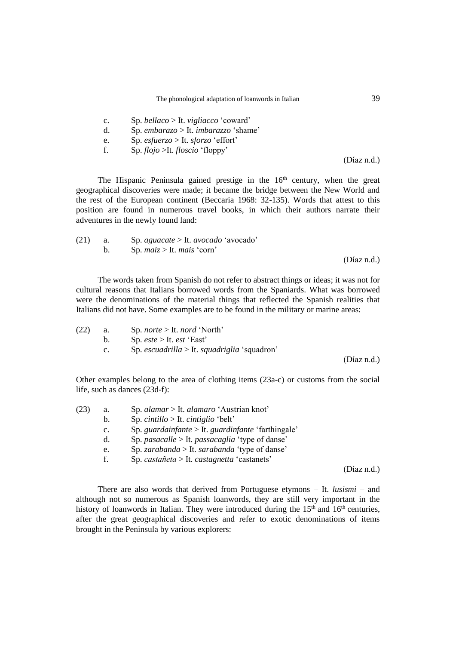- c. Sp. *bellaco* > It. *vigliacco* 'coward'
- d. Sp. *embarazo* > It. *imbarazzo* 'shame'
- e. Sp. *esfuerzo* > It. *sforzo* 'effort'
- f. Sp. *flojo* >It. *floscio* 'floppy'

(Díaz n.d.)

The Hispanic Peninsula gained prestige in the  $16<sup>th</sup>$  century, when the great geographical discoveries were made; it became the bridge between the New World and the rest of the European continent (Beccaria 1968: 32-135). Words that attest to this position are found in numerous travel books, in which their authors narrate their adventures in the newly found land:

| (21) | $\alpha$ and $\alpha$ | Sp. <i>aguacate</i> > It. <i>avocado</i> 'avocado' |             |
|------|-----------------------|----------------------------------------------------|-------------|
|      |                       | Sp. $maiz > It$ . mais 'corn'                      |             |
|      |                       |                                                    | (Diaz n.d.) |

The words taken from Spanish do not refer to abstract things or ideas; it was not for cultural reasons that Italians borrowed words from the Spaniards. What was borrowed were the denominations of the material things that reflected the Spanish realities that Italians did not have. Some examples are to be found in the military or marine areas:

| (22) | а.          | Sp. <i>norte</i> $>$ It. <i>nord</i> 'North' |             |
|------|-------------|----------------------------------------------|-------------|
|      | $b_{1}$     | Sp. <i>este</i> > It. <i>est</i> 'East'      |             |
|      | $c_{\cdot}$ | Sp. escuadrilla > It. squadriglia 'squadron' |             |
|      |             |                                              | (Díaz n.d.) |

Other examples belong to the area of clothing items (23a-c) or customs from the social life, such as dances (23d-f):

| (23) | a.             | Sp. alamar $>$ It. alamaro 'Austrian knot'                    |             |
|------|----------------|---------------------------------------------------------------|-------------|
|      | b.             | Sp. cintillo > It. cintiglio 'belt'                           |             |
|      | $\mathbf{c}$ . | Sp. guardainfante $>$ It. guardinfante 'farthingale'          |             |
|      | d.             | Sp. <i>pasacalle</i> > It. <i>passacaglia</i> 'type of danse' |             |
|      | e.             | Sp. zarabanda > It. sarabanda 'type of danse'                 |             |
|      | f.             | Sp. castañeta > It. castagnetta 'castanets'                   |             |
|      |                |                                                               | (Diaz n.d.) |

There are also words that derived from Portuguese etymons – It. *lusismi* – and although not so numerous as Spanish loanwords, they are still very important in the history of loanwords in Italian. They were introduced during the  $15<sup>th</sup>$  and  $16<sup>th</sup>$  centuries, after the great geographical discoveries and refer to exotic denominations of items brought in the Peninsula by various explorers: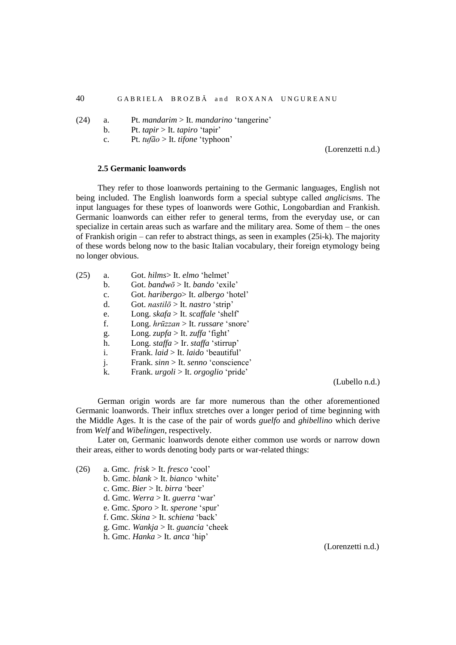- (24) a. Pt. *mandarim* > It. *mandarino* 'tangerine'
	- b. Pt. *tapir* > It. *tapiro* 'tapir'
	- c. Pt. *tufão* > It. *tifone* 'typhoon'

(Lorenzetti n.d.)

# **2.5 Germanic loanwords**

They refer to those loanwords pertaining to the Germanic languages, English not being included. The English loanwords form a special subtype called *anglicisms*. The input languages for these types of loanwords were Gothic, Longobardian and Frankish. Germanic loanwords can either refer to general terms, from the everyday use, or can specialize in certain areas such as warfare and the military area. Some of them – the ones of Frankish origin – can refer to abstract things, as seen in examples (25i-k). The majority of these words belong now to the basic Italian vocabulary, their foreign etymology being no longer obvious.

| a.             | Got. hilms>It. elmo 'helmet'                       |
|----------------|----------------------------------------------------|
| b.             | Got. bandwō > It. bando 'exile'                    |
| $\mathbf{C}$ . | Got. haribergo> It. albergo 'hotel'                |
| d.             | Got. <i>nastilo</i> > It. <i>nastro</i> 'strip'    |
| e.             | Long. $skafa > It.$ scaffale 'shelf'               |
| f.             | Long. $hr\bar{u}zzan >$ It. <i>russare</i> 'snore' |
| g.             | Long. <i>zupfa</i> > It. <i>zuffa</i> 'fight'      |
| h.             | Long. staffa > Ir. staffa 'stirrup'                |
| i.             | Frank. <i>laid</i> > It. <i>laido</i> 'beautiful'  |
| j.             | Frank. sinn > It. senno 'conscience'               |
| k.             | Frank. <i>urgoli</i> > It. <i>orgoglio</i> 'pride' |
|                |                                                    |

(Lubello n.d.)

German origin words are far more numerous than the other aforementioned Germanic loanwords. Their influx stretches over a longer period of time beginning with the Middle Ages. It is the case of the pair of words *guelfo* and *ghibellino* which derive from *Welf* and *Wibelingen*, respectively.

Later on, Germanic loanwords denote either common use words or narrow down their areas, either to words denoting body parts or war-related things:

- (26) a. Gmc. *frisk* > It. *fresco* 'cool'
	- b. Gmc. *blank* > It. *bianco* 'white'
	- c. Gmc. *Bier* > It. *birra* 'beer'
	- d. Gmc. *Werra* > It. *guerra* 'war'
	- e. Gmc. *Sporo* > It. *sperone* 'spur'
	- f. Gmc. *Skina* > It. *schiena* 'back'
	- g. Gmc. *Wankja* > It. *guancia* 'cheek
	- h. Gmc. *Hanka* > It. *anca* 'hip'

(Lorenzetti n.d.)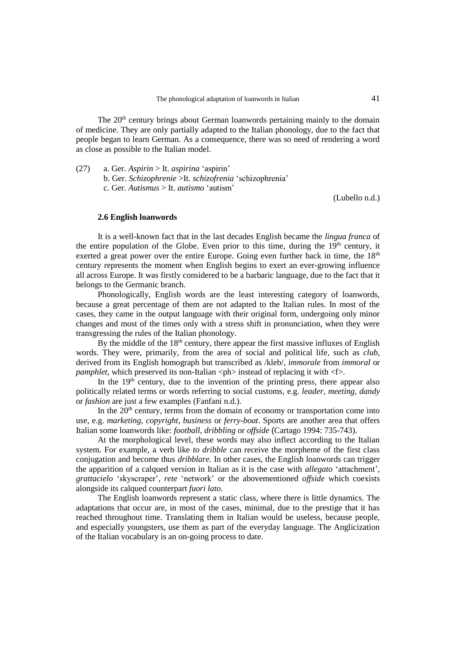The  $20<sup>th</sup>$  century brings about German loanwords pertaining mainly to the domain of medicine. They are only partially adapted to the Italian phonology, due to the fact that people began to learn German. As a consequence, there was so need of rendering a word as close as possible to the Italian model.

(27) a. Ger. *Aspirin* > It. *aspirina* 'aspirin' b. Ger. *Schizophrenie* >It. *schizofrenia* 'schizophrenia' c. Ger. *Autismus* > It. *autismo* 'autism'

(Lubello n.d.)

#### **2.6 English loanwords**

It is a well-known fact that in the last decades English became the *lingua franca* of the entire population of the Globe. Even prior to this time, during the  $19<sup>th</sup>$  century, it exerted a great power over the entire Europe. Going even further back in time, the  $18<sup>th</sup>$ century represents the moment when English begins to exert an ever-growing influence all across Europe. It was firstly considered to be a barbaric language, due to the fact that it belongs to the Germanic branch.

Phonologically, English words are the least interesting category of loanwords, because a great percentage of them are not adapted to the Italian rules. In most of the cases, they came in the output language with their original form, undergoing only minor changes and most of the times only with a stress shift in pronunciation, when they were transgressing the rules of the Italian phonology.

By the middle of the  $18<sup>th</sup>$  century, there appear the first massive influxes of English words. They were, primarily, from the area of social and political life, such as *club*, derived from its English homograph but transcribed as /kleb/, *immorale* from *immoral* or *pamphlet*, which preserved its non-Italian  $\langle ph \rangle$  instead of replacing it with  $\langle f \rangle$ .

In the  $19<sup>th</sup>$  century, due to the invention of the printing press, there appear also politically related terms or words referring to social customs, e.g. *leader*, *meeting*, *dandy* or *fashion* are just a few examples (Fanfani n.d.).

In the  $20<sup>th</sup>$  century, terms from the domain of economy or transportation come into use, e.g. *marketing*, *copyright*, *business* or *ferry-boat*. Sports are another area that offers Italian some loanwords like: *football*, *dribbling* or *offside* (Cartago 1994: 735-743).

At the morphological level, these words may also inflect according to the Italian system. For example, a verb like *to dribble* can receive the morpheme of the first class conjugation and become thus *dribblare.* In other cases, the English loanwords can trigger the apparition of a calqued version in Italian as it is the case with *allegato* 'attachment', *grattacielo* 'skyscraper', *rete* 'network' or the abovementioned *offside* which coexists alongside its calqued counterpart *fuori lato*.

The English loanwords represent a static class, where there is little dynamics. The adaptations that occur are, in most of the cases, minimal, due to the prestige that it has reached throughout time. Translating them in Italian would be useless, because people, and especially youngsters, use them as part of the everyday language. The Anglicization of the Italian vocabulary is an on-going process to date.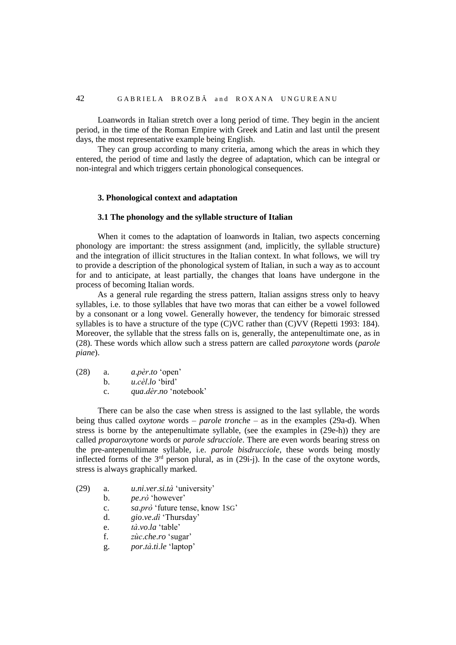Loanwords in Italian stretch over a long period of time. They begin in the ancient period, in the time of the Roman Empire with Greek and Latin and last until the present days, the most representative example being English.

They can group according to many criteria, among which the areas in which they entered, the period of time and lastly the degree of adaptation, which can be integral or non-integral and which triggers certain phonological consequences.

## **3. Phonological context and adaptation**

#### **3.1 The phonology and the syllable structure of Italian**

When it comes to the adaptation of loanwords in Italian, two aspects concerning phonology are important: the stress assignment (and, implicitly, the syllable structure) and the integration of illicit structures in the Italian context. In what follows, we will try to provide a description of the phonological system of Italian, in such a way as to account for and to anticipate, at least partially, the changes that loans have undergone in the process of becoming Italian words.

As a general rule regarding the stress pattern, Italian assigns stress only to heavy syllables, i.e. to those syllables that have two moras that can either be a vowel followed by a consonant or a long vowel. Generally however, the tendency for bimoraic stressed syllables is to have a structure of the type (C)VC rather than (C)VV (Repetti 1993: 184). Moreover, the syllable that the stress falls on is, generally, the antepenultimate one, as in (28). These words which allow such a stress pattern are called *paroxytone* words (*parole piane*).

| (28) | a. | <i>a.pèr.to</i> 'open' |
|------|----|------------------------|
|      |    |                        |

b. *u*.*cèl*.*lo* 'bird'

c. *qua*.*dèr*.*no* 'notebook'

There can be also the case when stress is assigned to the last syllable, the words being thus called *oxytone* words – *parole tronche* – as in the examples (29a-d). When stress is borne by the antepenultimate syllable, (see the examples in (29e-h)) they are called *proparoxytone* words or *parole sdrucciole*. There are even words bearing stress on the pre-antepenultimate syllable, i.e. *parole bisdrucciole*, these words being mostly inflected forms of the  $3<sup>rd</sup>$  person plural, as in (29i-j). In the case of the oxytone words, stress is always graphically marked.

- (29) a. *u*.*ni*.*ver*.*si*.*tà* 'university'
	- b. *pe*.*rò* 'however'
	- c. *sa*.*prò* 'future tense, know 1SG'
	- d. *gio*.*ve*.*dì* 'Thursday'
	- e. *tà*.*vo*.*la* 'table'
	- f. *zùc*.*che*.*ro* 'sugar'
	- g. *por*.*tà*.*ti*.*le* 'laptop'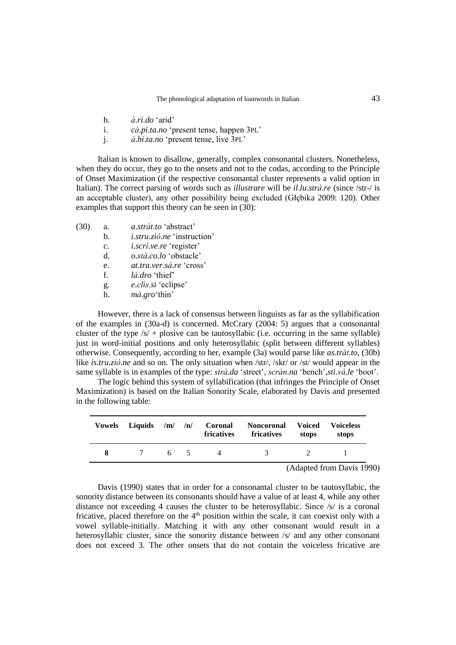- h. *à*.*ri*.*do* 'arid'
- i. *cà*.*pi*.*ta*.*no* 'present tense, happen 3PL'
- j. *à*.*bi*.*ta*.*no* 'present tense, live 3PL'

Italian is known to disallow, generally, complex consonantal clusters. Nonetheless, when they do occur, they go to the onsets and not to the codas, according to the Principle of Onset Maximization (if the respective consonantal cluster represents a valid option in Italian). The correct parsing of words such as *illustrare* will be *il*.*lu*.*strà*.*re* (since /str-/ is an acceptable cluster), any other possibility being excluded (Głębika 2009: 120). Other examples that support this theory can be seen in (30):

- (30) a. *a*.*stràt*.*to* 'abstract'
	- b. *i*.*stru*.*ziò*.*ne* 'instruction'
		- c. *i*.*scrì*.*ve*.*re* 'register'
		- d. *o*.*stà*.*co*.*lo* 'obstacle'
	- e. *at*.*tra*.*ver*.*sà*.*re* 'cross'
	- f. *là*.*dro* 'thief'
	- g. *e*.*clìs*.*si* 'eclipse'
	- h. *mà*.*gro*'thin'

However, there is a lack of consensus between linguists as far as the syllabification of the examples in (30a-d) is concerned. McCrary (2004: 5) argues that a consonantal cluster of the type  $\sqrt{s}$  + plosive can be tautosyllabic (i.e. occurring in the same syllable) just in word-initial positions and only heterosyllabic (split between different syllables) otherwise. Consequently, according to her, example (3a) would parse like *as*.*tràt*.*to*, (30b) like *is*.*tru.ziò.ne* and so on. The only situation when /str/, /skr/ or /st/ would appear in the same syllable is in examples of the type: *strà*.*da* 'street', *scràn*.*na* 'bench',*sti*.*và*.*le* 'boot'.

The logic behind this system of syllabification (that infringes the Principle of Onset Maximization) is based on the Italian Sonority Scale, elaborated by Davis and presented in the following table:

|   | Vowels Liquids /m/ /n/ |    | Coronal<br><b>fricatives</b> | Noncoronal<br>fricatives | Voiced<br>stops | <b>Voiceless</b><br>stops        |
|---|------------------------|----|------------------------------|--------------------------|-----------------|----------------------------------|
| 8 | $\overline{7}$         | 65 | $\Delta$                     | 3.                       |                 |                                  |
|   |                        |    |                              |                          |                 | $(11 \cdot 10 \cdot R \cdot 10)$ |

(Adapted from Davis 1990)

Davis (1990) states that in order for a consonantal cluster to be tautosyllabic, the sonority distance between its consonants should have a value of at least 4, while any other distance not exceeding 4 causes the cluster to be heterosyllabic. Since /s/ is a coronal fricative, placed therefore on the 4<sup>th</sup> position within the scale, it can coexist only with a vowel syllable-initially. Matching it with any other consonant would result in a heterosyllabic cluster, since the sonority distance between /s/ and any other consonant does not exceed 3. The other onsets that do not contain the voiceless fricative are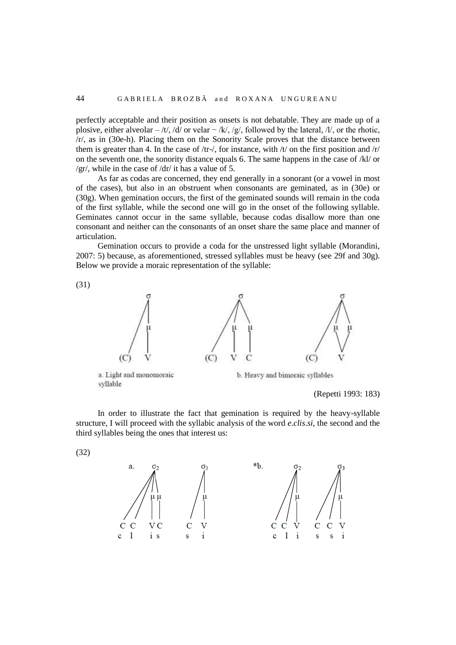perfectly acceptable and their position as onsets is not debatable. They are made up of a plosive, either alveolar – /t/, /d/ or velar – /k/, /g/, followed by the lateral, /l/, or the rhotic, /r/, as in (30e-h). Placing them on the Sonority Scale proves that the distance between them is greater than 4. In the case of /tr-/, for instance, with  $/t/$  on the first position and  $/t/$ on the seventh one, the sonority distance equals 6. The same happens in the case of /kl/ or /gr/, while in the case of /dr/ it has a value of 5.

As far as codas are concerned, they end generally in a sonorant (or a vowel in most of the cases), but also in an obstruent when consonants are geminated, as in (30e) or (30g). When gemination occurs, the first of the geminated sounds will remain in the coda of the first syllable, while the second one will go in the onset of the following syllable. Geminates cannot occur in the same syllable, because codas disallow more than one consonant and neither can the consonants of an onset share the same place and manner of articulation.

Gemination occurs to provide a coda for the unstressed light syllable (Morandini, 2007: 5) because, as aforementioned, stressed syllables must be heavy (see 29f and 30g). Below we provide a moraic representation of the syllable:



(Repetti 1993: 183)

In order to illustrate the fact that gemination is required by the heavy-syllable structure, I will proceed with the syllabic analysis of the word *e*.*clis*.*si*, the second and the third syllables being the ones that interest us:

(32)

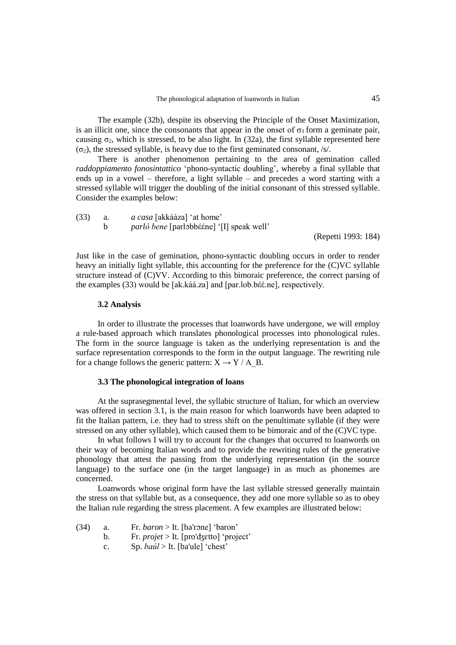The example (32b), despite its observing the Principle of the Onset Maximization, is an illicit one, since the consonants that appear in the onset of  $\sigma_3$  form a geminate pair, causing  $\sigma_2$ , which is stressed, to be also light. In (32a), the first syllable represented here  $(\sigma_2)$ , the stressed syllable, is heavy due to the first geminated consonant, /s/.

There is another phenomenon pertaining to the area of gemination called *raddoppiamento fonosintattico* 'phono-syntactic doubling', whereby a final syllable that ends up in a vowel – therefore, a light syllable – and precedes a word starting with a stressed syllable will trigger the doubling of the initial consonant of this stressed syllable. Consider the examples below:

| (33) | <i>a casa</i> [akkááza] 'at home'                |
|------|--------------------------------------------------|
|      | <i>parlò bene</i> [parlobbééne] '[I] speak well' |

(Repetti 1993: 184)

Just like in the case of gemination, phono-syntactic doubling occurs in order to render heavy an initially light syllable, this accounting for the preference for the (C)VC syllable structure instead of (C)VV. According to this bimoraic preference, the correct parsing of the examples (33) would be [ak.káá.za] and [par.lob.bέέ.ne], respectively.

#### **3.2 Analysis**

In order to illustrate the processes that loanwords have undergone, we will employ a rule-based approach which translates phonological processes into phonological rules. The form in the source language is taken as the underlying representation is and the surface representation corresponds to the form in the output language. The rewriting rule for a change follows the generic pattern:  $X \rightarrow Y / A$  B.

### **3.3 The phonological integration of loans**

At the suprasegmental level, the syllabic structure of Italian, for which an overview was offered in section 3.1, is the main reason for which loanwords have been adapted to fit the Italian pattern, i.e. they had to stress shift on the penultimate syllable (if they were stressed on any other syllable), which caused them to be bimoraic and of the (C)VC type.

In what follows I will try to account for the changes that occurred to loanwords on their way of becoming Italian words and to provide the rewriting rules of the generative phonology that attest the passing from the underlying representation (in the source language) to the surface one (in the target language) in as much as phonemes are concerned.

Loanwords whose original form have the last syllable stressed generally maintain the stress on that syllable but, as a consequence, they add one more syllable so as to obey the Italian rule regarding the stress placement. A few examples are illustrated below:

- (34) a. Fr. *baron* > It. [ba'rɔne] 'baron'
	- b. Fr. *projet* > It. [pro'ʤɛtto] 'project'
	- c. Sp. *baúl* > It. [ba'ule] 'chest'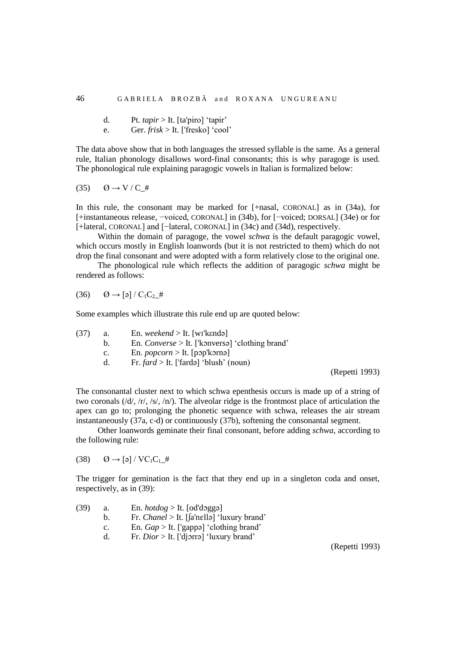d. Pt. *tapir* > It. [ta'piro] 'tapir'

e. Ger. *frisk* > It. ['fresko] 'cool'

The data above show that in both languages the stressed syllable is the same. As a general rule, Italian phonology disallows word-final consonants; this is why paragoge is used. The phonological rule explaining paragogic vowels in Italian is formalized below:

$$
(35) \qquad \emptyset \to V/C_{\perp} \#
$$

In this rule, the consonant may be marked for [+nasal, CORONAL] as in (34a), for [+instantaneous release, −voiced, CORONAL] in (34b), for [−voiced; DORSAL] (34e) or for [+lateral, CORONAL] and [-lateral, CORONAL] in (34c) and (34d), respectively.

Within the domain of paragoge, the vowel *schwa* is the default paragogic vowel, which occurs mostly in English loanwords (but it is not restricted to them) which do not drop the final consonant and were adopted with a form relatively close to the original one.

The phonological rule which reflects the addition of paragogic *schwa* might be rendered as follows:

$$
(36) \qquad \emptyset \to [a] / C_1 C_2 \#
$$

Some examples which illustrate this rule end up are quoted below:

| (37) | a. | En. weekend > It. [wikendə]                      |
|------|----|--------------------------------------------------|
|      | h. | En. Converse > It. ['konversa] 'clothing brand'  |
|      | c. | En. <i>popcorn</i> > It. [pop'korna]             |
|      | d. | Fr. $\text{far} d >$ It. ['fardə] 'blush' (noun) |
|      |    |                                                  |

(Repetti 1993)

The consonantal cluster next to which schwa epenthesis occurs is made up of a string of two coronals (/d/, /r/, /s/, /n/). The alveolar ridge is the frontmost place of articulation the apex can go to; prolonging the phonetic sequence with schwa, releases the air stream instantaneously (37a, c-d) or continuously (37b), softening the consonantal segment.

Other loanwords geminate their final consonant, before adding *schwa*, according to the following rule:

 $(38)$   $\qquad \qquad \emptyset \rightarrow \lbrack \varphi \rbrack / \text{VC}_1\text{C}_1 \#$ 

The trigger for gemination is the fact that they end up in a singleton coda and onset, respectively, as in (39):

| (39) | a. | En. $hotdog >$ It. [od'dogga]                  |
|------|----|------------------------------------------------|
|      | b. | Fr. Chanel > It. [[a'nɛllə] 'luxury brand'     |
|      | C. | En. $Gap > It$ . ['gappa] 'clothing brand'     |
|      | d. | Fr. <i>Dior</i> > It. ['djorra] 'luxury brand' |
|      |    |                                                |

(Repetti 1993)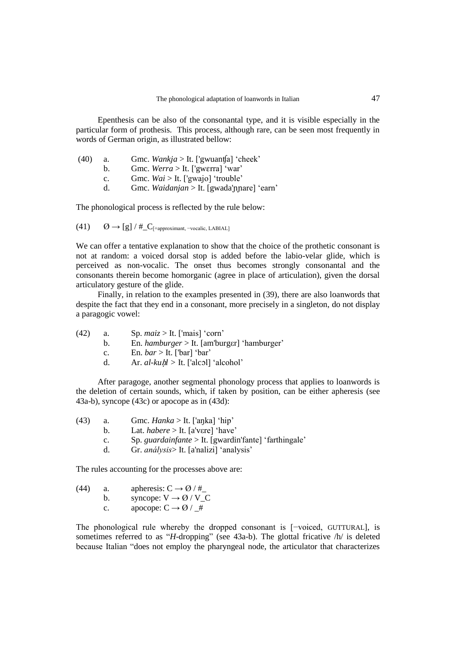Epenthesis can be also of the consonantal type, and it is visible especially in the particular form of prothesis. This process, although rare, can be seen most frequently in words of German origin, as illustrated bellow:

| (40) | a.             | Gmc. <i>Wankja</i> > It. ['gwuant[a] 'cheek'     |
|------|----------------|--------------------------------------------------|
|      | h.             | Gmc. Werra > It. ['gwɛrra] 'war'                 |
|      | $\mathbf{c}$ . | Gmc. $Wai > It$ . ['gwajo] 'trouble'             |
|      | d.             | Gmc. <i>Waidanjan</i> > It. [gwada'nnare] 'earn' |
|      |                |                                                  |

The phonological process is reflected by the rule below:

(41)  $\emptyset \rightarrow [g]$  / #\_ $C$ <sub>[+approximant, -vocalic, LABIAL]</sub>

We can offer a tentative explanation to show that the choice of the prothetic consonant is not at random: a voiced dorsal stop is added before the labio-velar glide, which is perceived as non-vocalic. The onset thus becomes strongly consonantal and the consonants therein become homorganic (agree in place of articulation), given the dorsal articulatory gesture of the glide.

Finally, in relation to the examples presented in (39), there are also loanwords that despite the fact that they end in a consonant, more precisely in a singleton, do not display a paragogic vowel:

| (42) | a. | Sp. $maiz >$ It. ['mais] 'corn'                      |
|------|----|------------------------------------------------------|
|      |    | En. <i>hamburger</i> $>$ It. [am'burger] 'hamburger' |
|      |    | En. $bar$ > It. ['bar] 'bar'                         |
|      |    | .                                                    |

d. Ar. *al-ku*ḥ*l >* It. ['alcɔl] 'alcohol'

After paragoge, another segmental phonology process that applies to loanwords is the deletion of certain sounds, which, if taken by position, can be either apheresis (see 43a-b), syncope (43c) or apocope as in (43d):

| (43) | Gmc. $Hanka >$ It. ['aŋka] 'hip' |  |
|------|----------------------------------|--|
|------|----------------------------------|--|

- b. Lat. *habere* > It. [a'vεre] 'have'
- c. Sp. *guardainfante* > It. [gwardin'fante] 'farthingale'
- d. Gr. *análysis*> It. [a'nalizi] 'analysis'

The rules accounting for the processes above are:

(44) a. 
$$
apheresis: C \rightarrow \emptyset / \#_{-}
$$

b. syncope:  $V \rightarrow \emptyset / V_C$ 

c. apocope:  $C \rightarrow \emptyset$  / #

The phonological rule whereby the dropped consonant is [−voiced, GUTTURAL], is sometimes referred to as "*H*-dropping" (see 43a-b). The glottal fricative /h/ is deleted because Italian "does not employ the pharyngeal node, the articulator that characterizes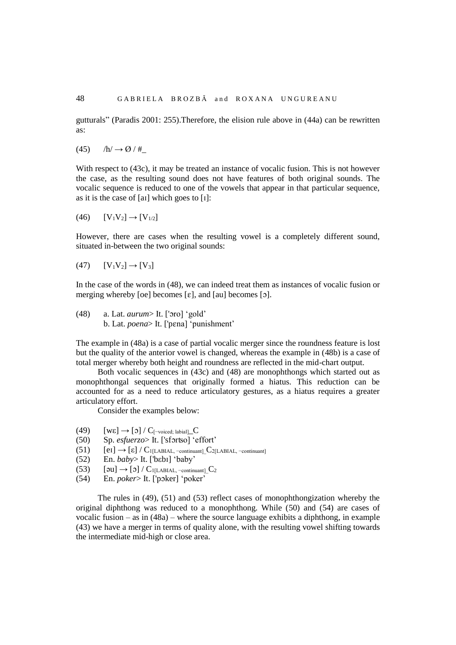gutturals" (Paradis 2001: 255).Therefore, the elision rule above in (44a) can be rewritten as:

 $(45)$  /h/  $\rightarrow$  Ø / #

With respect to (43c), it may be treated an instance of vocalic fusion. This is not however the case, as the resulting sound does not have features of both original sounds. The vocalic sequence is reduced to one of the vowels that appear in that particular sequence, as it is the case of [aɪ] which goes to [ɪ]:

$$
(46) \qquad [V_1V_2] \rightarrow [V_{1/2}]
$$

However, there are cases when the resulting vowel is a completely different sound, situated in-between the two original sounds:

 $(47) \qquad [V_1V_2] \to [V_3]$ 

In the case of the words in (48), we can indeed treat them as instances of vocalic fusion or merging whereby [oe] becomes  $[\epsilon]$ , and  $[\alpha]$  becomes  $[\circ]$ .

(48) a. Lat. *aurum*> It. ['ɔro] 'gold' b. Lat. *poena*> It. ['pɛna] 'punishment'

The example in (48a) is a case of partial vocalic merger since the roundness feature is lost but the quality of the anterior vowel is changed, whereas the example in (48b) is a case of total merger whereby both height and roundness are reflected in the mid-chart output.

Both vocalic sequences in (43c) and (48) are monophthongs which started out as monophthongal sequences that originally formed a hiatus. This reduction can be accounted for as a need to reduce articulatory gestures, as a hiatus requires a greater articulatory effort.

Consider the examples below:

- (49)  $[we] \rightarrow [0] / C_{[\text{-voiced; labial}]}$
- (50) Sp. *esfuerzo*> It. ['sfɔrʦo] 'effort'
- (51)  $[eI] \rightarrow [e] / C_{1[LABIAL, -continuant]} C_{2[LABIAL, -continuant]}$
- (52) En. *baby*> It. ['bεbɪ] 'baby'
- (53)  $[\text{su}] \rightarrow [\text{d}] / C_{1[\text{LABIAL}, \text{-continuant}]}$  $C_2$
- (54) En. *poker*> It. ['pɔker] 'poker'

The rules in (49), (51) and (53) reflect cases of monophthongization whereby the original diphthong was reduced to a monophthong. While (50) and (54) are cases of vocalic fusion – as in  $(48a)$  – where the source language exhibits a diphthong, in example (43) we have a merger in terms of quality alone, with the resulting vowel shifting towards the intermediate mid-high or close area.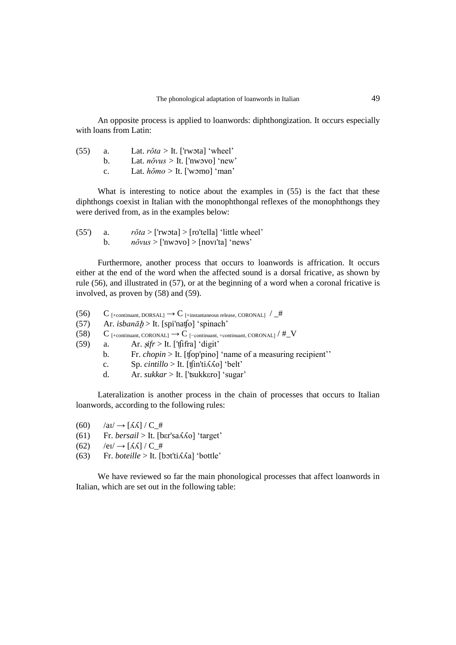An opposite process is applied to loanwords: diphthongization. It occurs especially with loans from Latin:

| (55) | а. | Lat. $r\delta t a >$ It. ['rwota] 'wheel'   |
|------|----|---------------------------------------------|
|      | h. | Lat. $n\delta vus >$ It. ['nwovo] 'new'     |
|      | C. | Lat. $h\delta m\varphi >$ It. ['womo] 'man' |

What is interesting to notice about the examples in  $(55)$  is the fact that these diphthongs coexist in Italian with the monophthongal reflexes of the monophthongs they were derived from, as in the examples below:

(55') a. *rŏta* > ['rwɔta] > [ro'tella] 'little wheel' b. *nŏvus* > ['nwɔvo] > [novɪ'ta] 'news'

Furthermore, another process that occurs to loanwords is affrication. It occurs either at the end of the word when the affected sound is a dorsal fricative, as shown by rule (56), and illustrated in (57), or at the beginning of a word when a coronal fricative is involved, as proven by (58) and (59).

- (56) C [+continuant, DORSAL]  $\rightarrow$  C [+instantaneous release, CORONAL]  $/\mu$ #
- (57) Ar. *isbanā*ḫ > It. [spi'naʧo] 'spinach'
- (58)  $C_{\text{[+continuant, CORONAL]}} \rightarrow C_{\text{[-continuant, +continuant, CORONAL]}} / #_V$
- (59) a. Ar. <sup>ṣ</sup>*ifr* > It. ['ʧifra] 'digit'
	- b. Fr. *chopin* > It. [top'pino] 'name of a measuring recipient''
	- c. Sp.  $cintillo > It$ . [tfin'ti $\Lambda$ *Ko*] 'belt'
	- d. Ar. *sukkar* > It. ['ʦukkεro] 'sugar'

Lateralization is another process in the chain of processes that occurs to Italian loanwords, according to the following rules:

- $(60)$  /ai/  $\rightarrow$  [*KK*] / **C**\_#
- (61) Fr. *bersail* > It. [bεr'saʎʎo] 'target'
- $(62)$  /ei/  $\rightarrow$  [ $\Lambda\Lambda$ ] / C\_#
- (63) Fr. *boteille* > It. [bɔt'tiʎʎa] 'bottle'

We have reviewed so far the main phonological processes that affect loanwords in Italian, which are set out in the following table: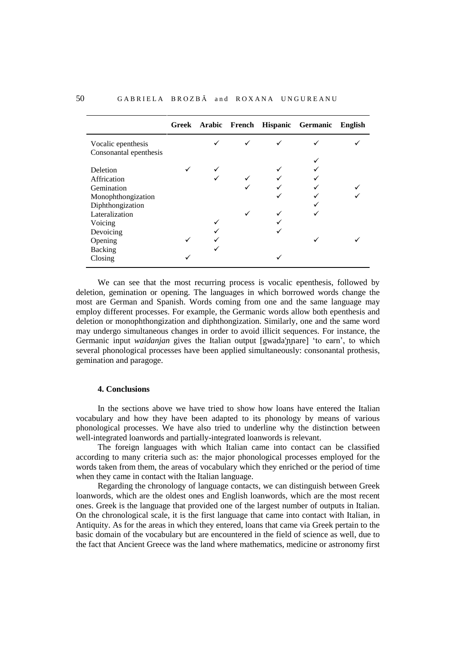|                        |  |  | Greek Arabic French Hispanic Germanic | English |
|------------------------|--|--|---------------------------------------|---------|
| Vocalic epenthesis     |  |  |                                       |         |
| Consonantal epenthesis |  |  |                                       |         |
|                        |  |  |                                       |         |
| Deletion               |  |  |                                       |         |
| Affrication            |  |  |                                       |         |
| Gemination             |  |  |                                       |         |
| Monophthongization     |  |  |                                       |         |
| Diphthongization       |  |  |                                       |         |
| Lateralization         |  |  |                                       |         |
| Voicing                |  |  |                                       |         |
| Devoicing              |  |  |                                       |         |
| Opening                |  |  |                                       |         |
| <b>Backing</b>         |  |  |                                       |         |
| Closing                |  |  |                                       |         |

We can see that the most recurring process is vocalic epenthesis, followed by deletion, gemination or opening. The languages in which borrowed words change the most are German and Spanish. Words coming from one and the same language may employ different processes. For example, the Germanic words allow both epenthesis and deletion or monophthongization and diphthongization. Similarly, one and the same word may undergo simultaneous changes in order to avoid illicit sequences. For instance, the Germanic input *waidanjan* gives the Italian output [gwada'nnare] 'to earn', to which several phonological processes have been applied simultaneously: consonantal prothesis, gemination and paragoge.

## **4. Conclusions**

In the sections above we have tried to show how loans have entered the Italian vocabulary and how they have been adapted to its phonology by means of various phonological processes. We have also tried to underline why the distinction between well-integrated loanwords and partially-integrated loanwords is relevant.

The foreign languages with which Italian came into contact can be classified according to many criteria such as: the major phonological processes employed for the words taken from them, the areas of vocabulary which they enriched or the period of time when they came in contact with the Italian language.

Regarding the chronology of language contacts, we can distinguish between Greek loanwords, which are the oldest ones and English loanwords, which are the most recent ones. Greek is the language that provided one of the largest number of outputs in Italian. On the chronological scale, it is the first language that came into contact with Italian, in Antiquity. As for the areas in which they entered, loans that came via Greek pertain to the basic domain of the vocabulary but are encountered in the field of science as well, due to the fact that Ancient Greece was the land where mathematics, medicine or astronomy first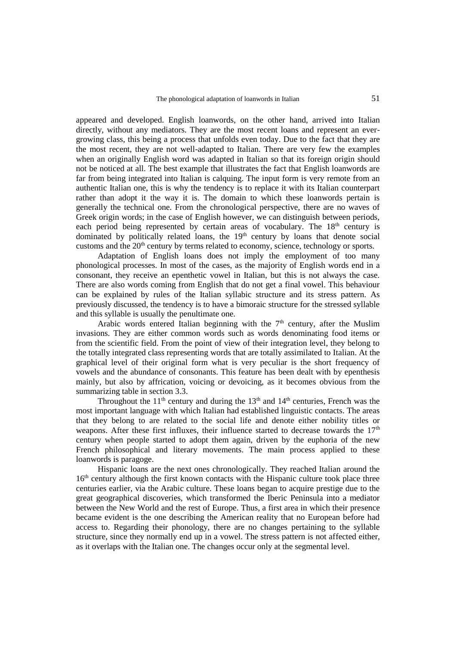appeared and developed. English loanwords, on the other hand, arrived into Italian directly, without any mediators. They are the most recent loans and represent an evergrowing class, this being a process that unfolds even today. Due to the fact that they are the most recent, they are not well-adapted to Italian. There are very few the examples when an originally English word was adapted in Italian so that its foreign origin should not be noticed at all. The best example that illustrates the fact that English loanwords are far from being integrated into Italian is calquing. The input form is very remote from an authentic Italian one, this is why the tendency is to replace it with its Italian counterpart rather than adopt it the way it is. The domain to which these loanwords pertain is generally the technical one. From the chronological perspective, there are no waves of Greek origin words; in the case of English however, we can distinguish between periods, each period being represented by certain areas of vocabulary. The 18<sup>th</sup> century is dominated by politically related loans, the 19<sup>th</sup> century by loans that denote social customs and the  $20<sup>th</sup>$  century by terms related to economy, science, technology or sports.

Adaptation of English loans does not imply the employment of too many phonological processes. In most of the cases, as the majority of English words end in a consonant, they receive an epenthetic vowel in Italian, but this is not always the case. There are also words coming from English that do not get a final vowel. This behaviour can be explained by rules of the Italian syllabic structure and its stress pattern. As previously discussed, the tendency is to have a bimoraic structure for the stressed syllable and this syllable is usually the penultimate one.

Arabic words entered Italian beginning with the  $7<sup>th</sup>$  century, after the Muslim invasions. They are either common words such as words denominating food items or from the scientific field. From the point of view of their integration level, they belong to the totally integrated class representing words that are totally assimilated to Italian. At the graphical level of their original form what is very peculiar is the short frequency of vowels and the abundance of consonants. This feature has been dealt with by epenthesis mainly, but also by affrication, voicing or devoicing, as it becomes obvious from the summarizing table in section 3.3.

Throughout the  $11<sup>th</sup>$  century and during the  $13<sup>th</sup>$  and  $14<sup>th</sup>$  centuries, French was the most important language with which Italian had established linguistic contacts. The areas that they belong to are related to the social life and denote either nobility titles or weapons. After these first influxes, their influence started to decrease towards the  $17<sup>th</sup>$ century when people started to adopt them again, driven by the euphoria of the new French philosophical and literary movements. The main process applied to these loanwords is paragoge.

Hispanic loans are the next ones chronologically. They reached Italian around the 16<sup>th</sup> century although the first known contacts with the Hispanic culture took place three centuries earlier, via the Arabic culture. These loans began to acquire prestige due to the great geographical discoveries, which transformed the Iberic Peninsula into a mediator between the New World and the rest of Europe. Thus, a first area in which their presence became evident is the one describing the American reality that no European before had access to. Regarding their phonology, there are no changes pertaining to the syllable structure, since they normally end up in a vowel. The stress pattern is not affected either, as it overlaps with the Italian one. The changes occur only at the segmental level.